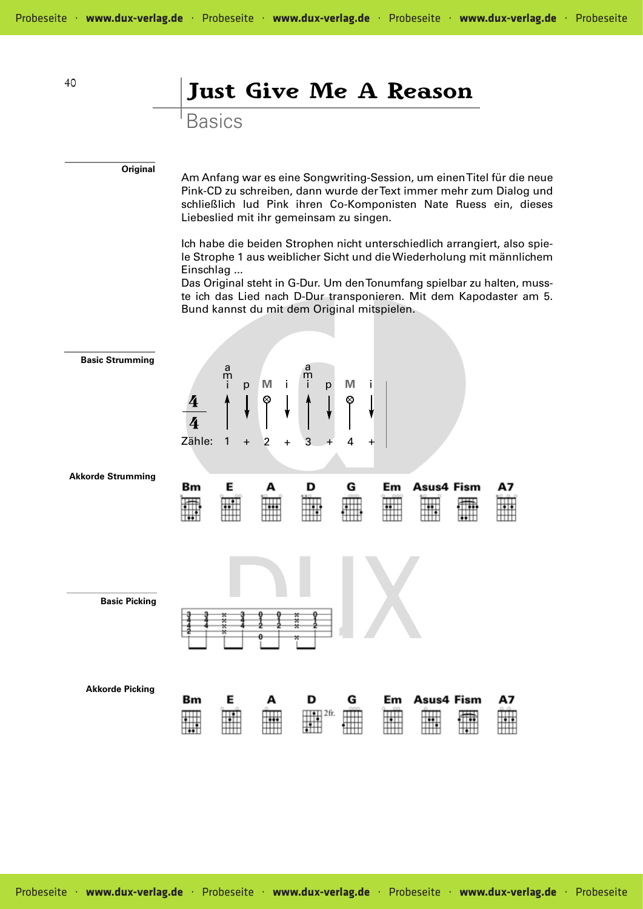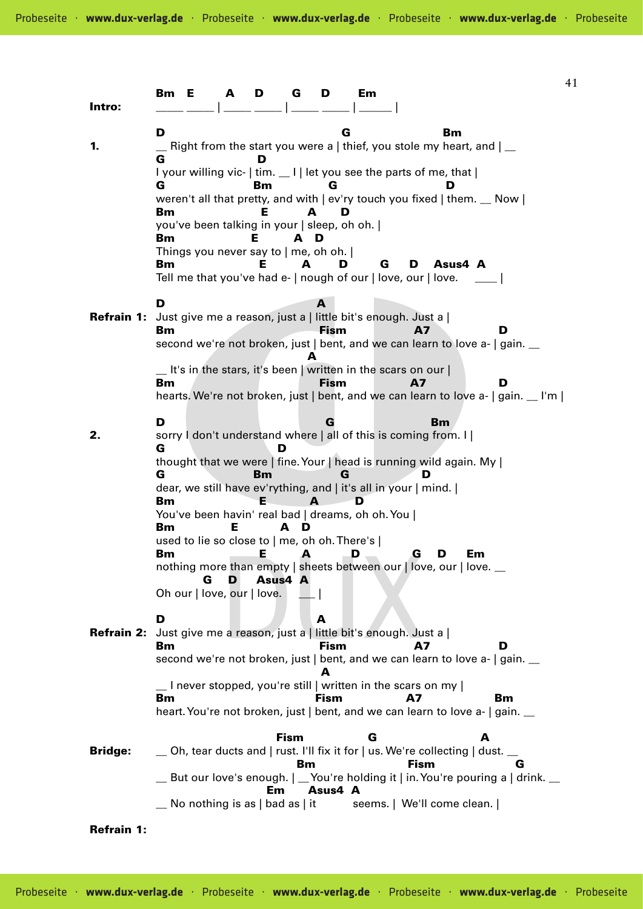| Intro:                                                                 | Вm                                                                                                                                                                                                                                                                                                                                                                                                                                                                                                                          | Е                                                                                 | A      | D  | G                             | D                        | Em                                                                                                                                                                                                                                                                                                                                                  |           |                |    |                                                                                            | 41 |
|------------------------------------------------------------------------|-----------------------------------------------------------------------------------------------------------------------------------------------------------------------------------------------------------------------------------------------------------------------------------------------------------------------------------------------------------------------------------------------------------------------------------------------------------------------------------------------------------------------------|-----------------------------------------------------------------------------------|--------|----|-------------------------------|--------------------------|-----------------------------------------------------------------------------------------------------------------------------------------------------------------------------------------------------------------------------------------------------------------------------------------------------------------------------------------------------|-----------|----------------|----|--------------------------------------------------------------------------------------------|----|
| 1.                                                                     | D<br>G<br>Bm<br>Right from the start you were a   thief, you stole my heart, and $\vert$ _<br>G<br>I your willing vic-   tim. __ I   let you see the parts of me, that  <br>G<br>Вm<br>G<br>weren't all that pretty, and with $ $ ev'ry touch you fixed $ $ them. $\Box$ Now $ $<br>Bm<br>Е<br>D<br>А<br>you've been talking in your   sleep, oh oh.  <br>Bm<br>D<br>A<br>Things you never say to   me, oh oh.  <br>Bm<br>G<br>Asus4 A<br>Е<br>А<br>D<br>D<br>Tell me that you've had e-   nough of our   love, our   love. |                                                                                   |        |    |                               |                          |                                                                                                                                                                                                                                                                                                                                                     |           |                |    |                                                                                            |    |
| Refrain 1: Just give me a reason, just a   little bit's enough. Just a | D<br>Bm<br>Bm                                                                                                                                                                                                                                                                                                                                                                                                                                                                                                               |                                                                                   |        |    |                               | A<br>Fism<br><b>Fism</b> | $\_$ It's in the stars, it's been   written in the scars on our                                                                                                                                                                                                                                                                                     |           | A7<br>A7       |    | D<br>second we're not broken, just   bent, and we can learn to love a-   gain. __<br>D     |    |
| 2.                                                                     | D<br>G<br>G<br><b>Bm</b><br><b>Bm</b><br>Вm                                                                                                                                                                                                                                                                                                                                                                                                                                                                                 | used to lie so close to   me, oh oh. There's  <br>G<br>Oh our   love, our   love. | Е<br>D | Вm | D<br>А<br>D<br>E A<br>Asus4 A | G<br>G                   | sorry I don't understand where   all of this is coming from. I  <br>thought that we were   fine. Your   head is running wild again. My  <br>dear, we still have ev'rything, and   it's all in your   mind.  <br>D<br>You've been havin' real bad   dreams, oh oh. You  <br>D.<br>nothing more than empty   sheets between our   love, our   love. _ | G         | <b>Bm</b><br>D | Em | hearts. We're not broken, just   bent, and we can learn to love a-   gain. _ I'm           |    |
| <b>Refrain 2:</b>                                                      | D<br>Вm                                                                                                                                                                                                                                                                                                                                                                                                                                                                                                                     |                                                                                   |        |    |                               | А<br><b>Fism</b><br>А    | Just give me a reason, just a   little bit's enough. Just a  <br>$\perp$ I never stopped, you're still   written in the scars on my                                                                                                                                                                                                                 |           | A7             |    | D<br>second we're not broken, just   bent, and we can learn to love a-   gain. __          |    |
| <b>Bridge:</b>                                                         | Bm                                                                                                                                                                                                                                                                                                                                                                                                                                                                                                                          |                                                                                   |        |    | <b>Fism</b>                   | <b>Fism</b>              | G<br>$\_\$ Oh, tear ducts and   rust. I'll fix it for   us. We're collecting   dust. $\_\_$                                                                                                                                                                                                                                                         | <b>A7</b> |                | A  | <b>Bm</b><br>heart. You're not broken, just   bent, and we can learn to love a-   gain. __ |    |
|                                                                        |                                                                                                                                                                                                                                                                                                                                                                                                                                                                                                                             | No nothing is as $ $ bad as $ $ it                                                |        | Em | Bm                            | Asus4 A                  | seems.   We'll come clean.                                                                                                                                                                                                                                                                                                                          |           | <b>Fism</b>    |    | G<br>But our love's enough.   _You're holding it   in. You're pouring a   drink. _         |    |
| <b>Refrain 1:</b>                                                      |                                                                                                                                                                                                                                                                                                                                                                                                                                                                                                                             |                                                                                   |        |    |                               |                          |                                                                                                                                                                                                                                                                                                                                                     |           |                |    |                                                                                            |    |